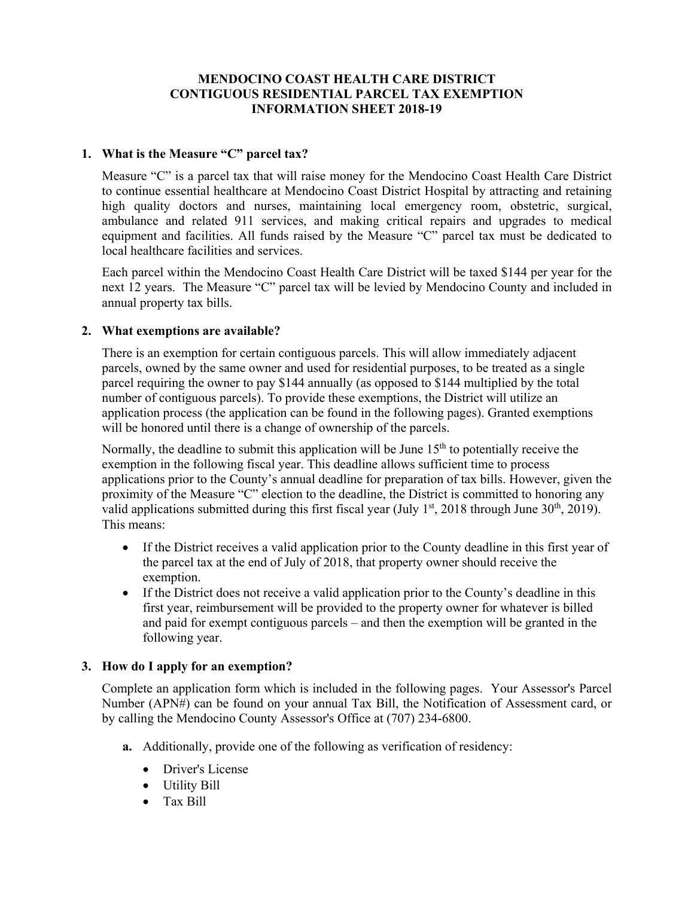# **MENDOCINO COAST HEALTH CARE DISTRICT CONTIGUOUS RESIDENTIAL PARCEL TAX EXEMPTION INFORMATION SHEET 2018-19**

### **1. What is the Measure "C" parcel tax?**

Measure "C" is a parcel tax that will raise money for the Mendocino Coast Health Care District to continue essential healthcare at Mendocino Coast District Hospital by attracting and retaining high quality doctors and nurses, maintaining local emergency room, obstetric, surgical, ambulance and related 911 services, and making critical repairs and upgrades to medical equipment and facilities. All funds raised by the Measure "C" parcel tax must be dedicated to local healthcare facilities and services.

Each parcel within the Mendocino Coast Health Care District will be taxed \$144 per year for the next 12 years. The Measure "C" parcel tax will be levied by Mendocino County and included in annual property tax bills.

### **2. What exemptions are available?**

There is an exemption for certain contiguous parcels. This will allow immediately adjacent parcels, owned by the same owner and used for residential purposes, to be treated as a single parcel requiring the owner to pay \$144 annually (as opposed to \$144 multiplied by the total number of contiguous parcels). To provide these exemptions, the District will utilize an application process (the application can be found in the following pages). Granted exemptions will be honored until there is a change of ownership of the parcels.

Normally, the deadline to submit this application will be June  $15<sup>th</sup>$  to potentially receive the exemption in the following fiscal year. This deadline allows sufficient time to process applications prior to the County's annual deadline for preparation of tax bills. However, given the proximity of the Measure "C" election to the deadline, the District is committed to honoring any valid applications submitted during this first fiscal year (July  $1<sup>st</sup>$ , 2018 through June 30<sup>th</sup>, 2019). This means:

- If the District receives a valid application prior to the County deadline in this first year of the parcel tax at the end of July of 2018, that property owner should receive the exemption.
- If the District does not receive a valid application prior to the County's deadline in this first year, reimbursement will be provided to the property owner for whatever is billed and paid for exempt contiguous parcels – and then the exemption will be granted in the following year.

## **3. How do I apply for an exemption?**

Complete an application form which is included in the following pages. Your Assessor's Parcel Number (APN#) can be found on your annual Tax Bill, the Notification of Assessment card, or by calling the Mendocino County Assessor's Office at (707) 234-6800.

- **a.** Additionally, provide one of the following as verification of residency:
	- Driver's License
	- Utility Bill
	- Tax Bill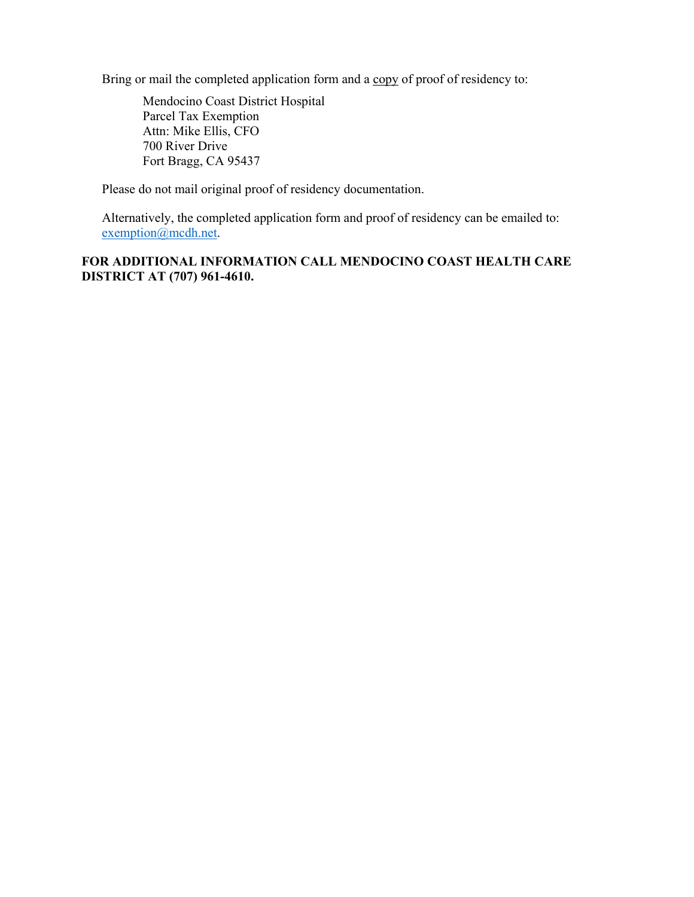Bring or mail the completed application form and a copy of proof of residency to:

Mendocino Coast District Hospital Parcel Tax Exemption Attn: Mike Ellis, CFO 700 River Drive Fort Bragg, CA 95437

Please do not mail original proof of residency documentation.

Alternatively, the completed application form and proof of residency can be emailed to: exemption@mcdh.net.

**FOR ADDITIONAL INFORMATION CALL MENDOCINO COAST HEALTH CARE DISTRICT AT (707) 961-4610.**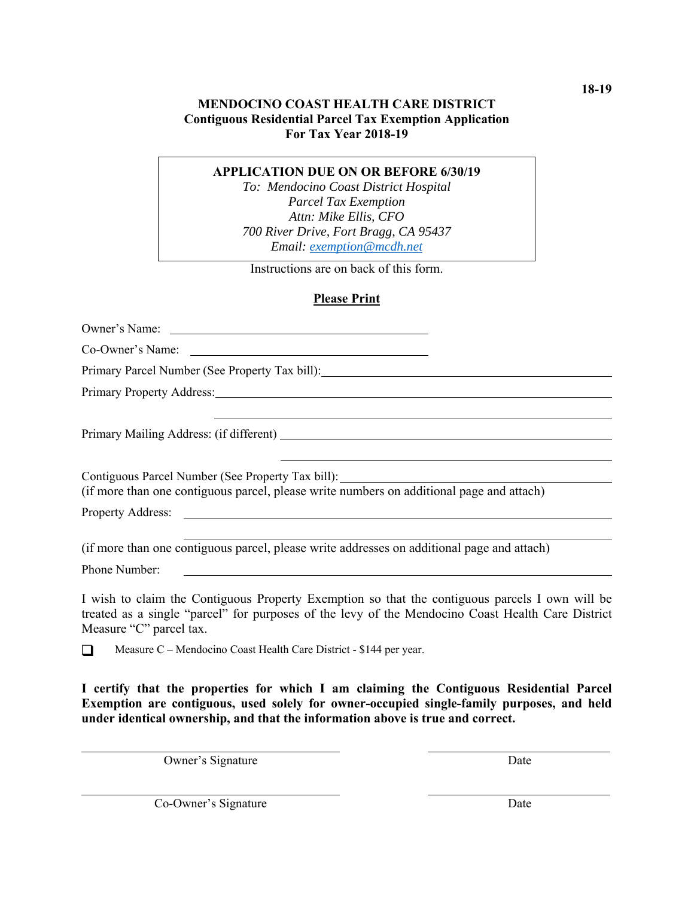# **MENDOCINO COAST HEALTH CARE DISTRICT Contiguous Residential Parcel Tax Exemption Application For Tax Year 2018-19**

#### **APPLICATION DUE ON OR BEFORE 6/30/19**

*To: Mendocino Coast District Hospital Parcel Tax Exemption Attn: Mike Ellis, CFO 700 River Drive, Fort Bragg, CA 95437 Email: exemption@mcdh.net* 

Instructions are on back of this form.

## **Please Print**

Owner's Name: Co-Owner's Name: Primary Parcel Number (See Property Tax bill): Primary Property Address: Camera Communication and Communication and Communication and Communication and Communication and Communication and Communication and Communication and Communication and Communication and Communica Primary Mailing Address: (if different) Contiguous Parcel Number (See Property Tax bill): (if more than one contiguous parcel, please write numbers on additional page and attach) Property Address: (if more than one contiguous parcel, please write addresses on additional page and attach) Phone Number: I wish to claim the Contiguous Property Exemption so that the contiguous parcels I own will be treated as a single "parcel" for purposes of the levy of the Mendocino Coast Health Care District Measure "C" parcel tax.

Measure  $C$  – Mendocino Coast Health Care District - \$144 per year.

**I certify that the properties for which I am claiming the Contiguous Residential Parcel Exemption are contiguous, used solely for owner-occupied single-family purposes, and held under identical ownership, and that the information above is true and correct.** 

l

l

Owner's Signature

l

**Date** 

Co-Owner's Signature

Date

**18-19**